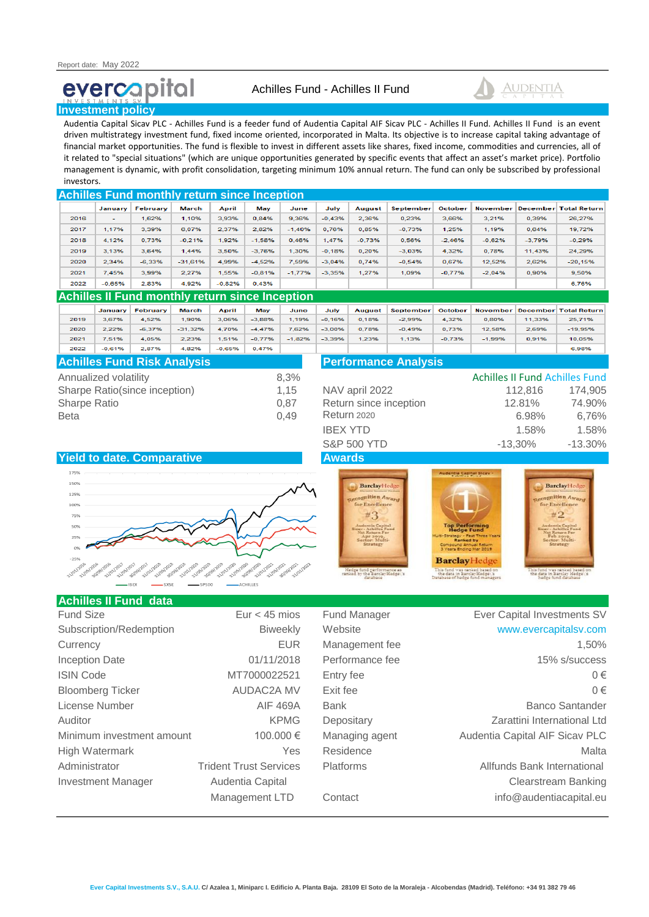# evercapital



#### **Investment policy**

Audentia Capital Sicav PLC - Achilles Fund is a feeder fund of Audentia Capital AIF Sicav PLC - Achilles II Fund. Achilles II Fund is an event driven multistrategy investment fund, fixed income oriented, incorporated in Malta. Its objective is to increase capital taking advantage of financial market opportunities. The fund is flexible to invest in different assets like shares, fixed income, commodities and currencies, all of it related to "special situations" (which are unique opportunities generated by specific events that affect an asset's market price). Portfolio management is dynamic, with profit consolidation, targeting minimum 10% annual return. The fund can only be subscribed by professional investors.

| <b>Achilles Fund monthly return since Inception</b> |                          |          |           |          |          |          |          |          |                  |          |                 |                 |                     |
|-----------------------------------------------------|--------------------------|----------|-----------|----------|----------|----------|----------|----------|------------------|----------|-----------------|-----------------|---------------------|
|                                                     | January                  | February | March     | April    | May      | June     | July     | August   | <b>September</b> | October  | <b>November</b> | <b>December</b> | <b>Total Return</b> |
| 2016                                                | $\overline{\phantom{a}}$ | 1.62%    | 1.10%     | 3.93%    | 0.84%    | 9,36%    | $-0.43%$ | 2.36%    | 0.23%            | 3.66%    | 3.21%           | 0,39%           | 26,27%              |
| 2017                                                | 1.17%                    | 3,39%    | 6.07%     | 2.37%    | 2.82%    | $-1.40%$ | 0.76%    | 0.85%    | $-0.73%$         | 1.25%    | 1.19%           | 0.64%           | 19.72%              |
| 2018                                                | 4.12%                    | 0.73%    | $-0.21%$  | 1.92%    | $-1.58%$ | 0.46%    | 1.47%    | $-0.73%$ | 0.56%            | $-2.46%$ | $-0.62%$        | $-3.79%$        | $-0.29%$            |
| 2019                                                | 3.13%                    | 3.64%    | 1.44%     | 3.50%    | $-3.76%$ | 1.30%    | $-0.18%$ | 0.20%    | $-3.03%$         | 4.32%    | 0.78%           | 11.43%          | 24.29%              |
| 2020                                                | 2.34%                    | $-6.33%$ | $-31.61%$ | 4.99%    | $-4.52%$ | 7.59%    | $-3.04%$ | 0.74%    | $-0.54%$         | 0.67%    | 12.52%          | 2,62%           | $-20,15%$           |
| 2021                                                | 7.45%                    | 3.99%    | 2.27%     | 1.55%    | $-0.81%$ | $-1.77%$ | $-3.35%$ | 1.27%    | 1.09%            | $-0.77%$ | $-2.04%$        | 0.90%           | 9,50%               |
| 2022                                                | $-0.65%$                 | 2.83%    | 4,92%     | $-0.82%$ | 0.43%    |          |          |          |                  |          |                 |                 | 6,76%               |

### **Achilles II Fund monthly return since Inception**

|      | January  | February | March     | April    | May      | June     | July     | August | <b>September</b> | October  | November |        | <b>December Total Return</b> |
|------|----------|----------|-----------|----------|----------|----------|----------|--------|------------------|----------|----------|--------|------------------------------|
| 2019 | 3.67%    | 4,52%    | 1.90%     | 3,06%    | $-3.88%$ | 1.19%    | $-0.16%$ | 0.18%  | $-2.99%$         | 4,32%    | 0.80%    | 11,33% | 25,71%                       |
| 2020 | 2.22%    | $-6,37%$ | $-31,32%$ | 4,70%    | $-4,47%$ | 7,62%    | $-3,00%$ | 0.78%  | $-0.49%$         | 0.73%    | 12,58%   | 2,69%  | $-19,95%$                    |
| 2021 | 7.51%    | 4,05%    | 2,23%     | 1.51%    | $-0.77%$ | $-1,82%$ | $-3,39%$ | 1,23%  | 1.13%            | $-0.73%$ | $-1,99%$ | 0.91%  | 10,05%                       |
| 2022 | $-0.61%$ | 2,87%    | 4,82%     | $-0.65%$ | 0.47%    |          |          |        |                  |          |          |        | 6,98%                        |

| <b>Achilles Fund Risk Analysis</b> |      | <b>Performance Analysis</b> |                                       |            |  |  |  |
|------------------------------------|------|-----------------------------|---------------------------------------|------------|--|--|--|
| Annualized volatility              | 8.3% |                             | <b>Achilles II Fund Achilles Fund</b> |            |  |  |  |
| Sharpe Ratio(since inception)      | 1.15 | NAV april 2022              | 112.816                               | 174,905    |  |  |  |
| Sharpe Ratio                       | 0.87 | Return since inception      | 12.81%                                | 74.90%     |  |  |  |
| Beta                               | 0.49 | <b>Return 2020</b>          | 6.98%                                 | 6,76%      |  |  |  |
|                                    |      | <b>IBEX YTD</b>             | 1.58%                                 | 1.58%      |  |  |  |
|                                    |      | <b>S&amp;P 500 YTD</b>      | -13.30%                               | $-13.30\%$ |  |  |  |









#### **Achilles II Fund data**

| Fund Size                 | Eur $<$ 45 mios               | <b>Fund Manager</b> | Ever Capital Investments SV    |
|---------------------------|-------------------------------|---------------------|--------------------------------|
| Subscription/Redemption   | <b>Biweekly</b>               | Website             | www.evercapitalsv.com          |
| Currency                  | <b>EUR</b>                    | Management fee      | 1,50%                          |
| <b>Inception Date</b>     | 01/11/2018                    | Performance fee     | 15% s/success                  |
| <b>ISIN Code</b>          | MT7000022521                  | Entry fee           | $0 \in$                        |
| <b>Bloomberg Ticker</b>   | <b>AUDAC2A MV</b>             | Exit fee            | $0 \in$                        |
| License Number            | <b>AIF 469A</b>               | <b>Bank</b>         | <b>Banco Santander</b>         |
| Auditor                   | <b>KPMG</b>                   | Depositary          | Zarattini International Ltd    |
| Minimum investment amount | 100,000 €                     | Managing agent      | Audentia Capital AIF Sicav PLC |
| High Watermark            | <b>Yes</b>                    | Residence           | Malta                          |
| Administrator             | <b>Trident Trust Services</b> | <b>Platforms</b>    | Allfunds Bank International    |
| <b>Investment Manager</b> | Audentia Capital              |                     | <b>Clearstream Banking</b>     |
|                           | Management LTD                | Contact             | info@audentiacapital.eu        |

# Fund Manager **Ever Capital Investments SV** Website [www.evercapitalsv.com](http://www.evercapitalsv.com/) Management fee 1,50% Performance fee 15% s/success **Bank Banco Santander** Depositary **Depositary** Zarattini International Ltd Managing agent **Audentia Capital AIF Sicav PLC** Platforms **Trident Trident Trident Trident Trident Services Platforms** Allfunds Bank International Clearstream Banking Contact Contact info@audentiacapital.eu